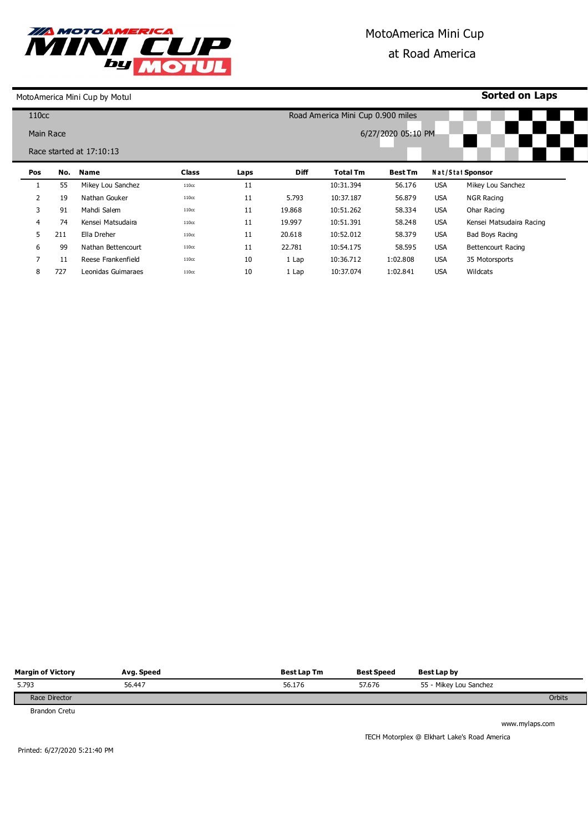

## MotoAmerica Mini Cup at Road America

MotoAmerica Mini Cup by Motul

**Sorted on Laps**

| 110 <sub>CC</sub> |     |                            |                   |                    |             | Road America Mini Cup 0.900 miles |                |            |                          |  |
|-------------------|-----|----------------------------|-------------------|--------------------|-------------|-----------------------------------|----------------|------------|--------------------------|--|
| Main Race         |     |                            |                   | 6/27/2020 05:10 PM |             |                                   |                |            |                          |  |
|                   |     | Race started at $17:10:13$ |                   |                    |             |                                   |                |            |                          |  |
| Pos               | No. | <b>Name</b>                | <b>Class</b>      | Laps               | <b>Diff</b> | <b>Total Tm</b>                   | <b>Best Tm</b> |            | Nat/Stat Sponsor         |  |
|                   | 55  | Mikey Lou Sanchez          | 110 <sub>cc</sub> | 11                 |             | 10:31.394                         | 56.176         | <b>USA</b> | Mikey Lou Sanchez        |  |
| $\overline{2}$    | 19  | Nathan Gouker              | 110 <sub>cc</sub> | 11                 | 5.793       | 10:37.187                         | 56.879         | <b>USA</b> | <b>NGR Racing</b>        |  |
| 3                 | 91  | Mahdi Salem                | 110cc             | 11                 | 19.868      | 10:51.262                         | 58.334         | <b>USA</b> | Ohar Racing              |  |
| $\overline{4}$    | 74  | Kensei Matsudaira          | 110 <sub>cc</sub> | 11                 | 19.997      | 10:51.391                         | 58.248         | <b>USA</b> | Kensei Matsudaira Racing |  |
| 5                 | 211 | Ella Dreher                | 110 <sub>cc</sub> | 11                 | 20.618      | 10:52.012                         | 58.379         | <b>USA</b> | Bad Boys Racing          |  |
| 6                 | 99  | Nathan Bettencourt         | 110 <sub>cc</sub> | 11                 | 22,781      | 10:54.175                         | 58.595         | <b>USA</b> | Bettencourt Racing       |  |
| 7                 | 11  | Reese Frankenfield         | 110 <sub>cc</sub> | 10                 | 1 Lap       | 10:36.712                         | 1:02.808       | <b>USA</b> | 35 Motorsports           |  |
| 8                 | 727 | Leonidas Guimaraes         | 110cc             | 10                 | 1 Lap       | 10:37.074                         | 1:02.841       | <b>USA</b> | Wildcats                 |  |

| <b>Margin of Victory</b> | Avg. Speed | <b>Best Lap Tm</b> | <b>Best Speed</b> | Best Lap by            |
|--------------------------|------------|--------------------|-------------------|------------------------|
| 5.793                    | 56.447     | 56.176             | 57.676            | 55 - Mikey Lou Sanchez |
| Race Director            |            |                    |                   | Orbits                 |

Brandon Cretu

www.mylaps.com

TECH Motorplex @ Elkhart Lake's Road America

Printed: 6/27/2020 5:21:40 PM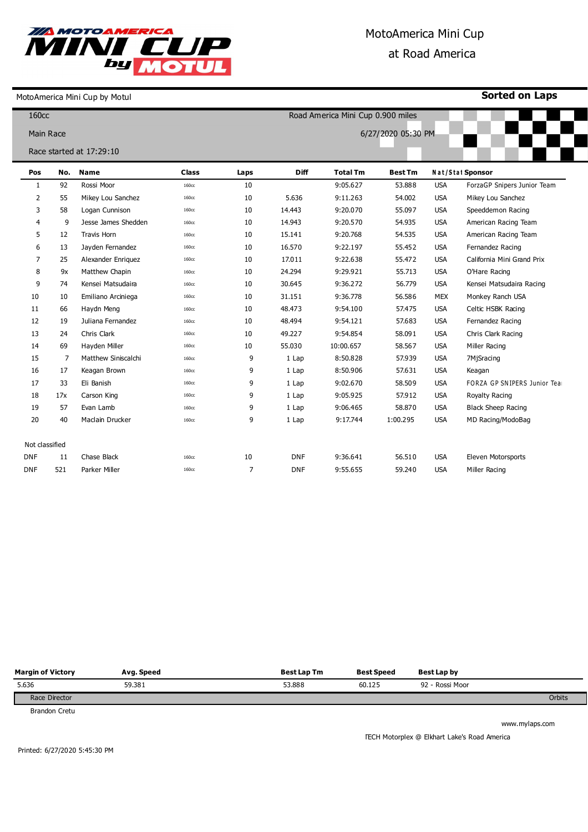

## MotoAmerica Mini Cup at Road America

MotoAmerica Mini Cup by Motul

**Sorted on Laps**

| 160 <sub>cc</sub> |     |                          |              | Road America Mini Cup 0.900 miles |             |                 |                |            |                             |  |
|-------------------|-----|--------------------------|--------------|-----------------------------------|-------------|-----------------|----------------|------------|-----------------------------|--|
| <b>Main Race</b>  |     |                          |              | 6/27/2020 05:30 PM                |             |                 |                |            |                             |  |
|                   |     | Race started at 17:29:10 |              |                                   |             |                 |                |            |                             |  |
|                   |     |                          |              |                                   |             |                 |                |            |                             |  |
| Pos               | No. | <b>Name</b>              | <b>Class</b> | Laps                              | <b>Diff</b> | <b>Total Tm</b> | <b>Best Tm</b> |            | Nat/Stat Sponsor            |  |
| $\mathbf{1}$      | 92  | Rossi Moor               | 160cc        | 10                                |             | 9:05.627        | 53.888         | <b>USA</b> | ForzaGP Snipers Junior Team |  |
| 2                 | 55  | Mikey Lou Sanchez        | 160cc        | 10                                | 5.636       | 9:11.263        | 54.002         | <b>USA</b> | Mikey Lou Sanchez           |  |
| 3                 | 58  | Logan Cunnison           | 160cc        | 10                                | 14.443      | 9:20.070        | 55.097         | <b>USA</b> | Speeddemon Racing           |  |
| 4                 | 9   | Jesse James Shedden      | 160cc        | 10                                | 14.943      | 9:20.570        | 54.935         | <b>USA</b> | American Racing Team        |  |
| 5                 | 12  | <b>Travis Horn</b>       | 160cc        | 10                                | 15.141      | 9:20.768        | 54.535         | <b>USA</b> | American Racing Team        |  |
| 6                 | 13  | Jayden Fernandez         | 160cc        | 10                                | 16.570      | 9:22.197        | 55.452         | <b>USA</b> | Fernandez Racing            |  |
| 7                 | 25  | Alexander Enriquez       | 160cc        | 10                                | 17.011      | 9:22.638        | 55.472         | <b>USA</b> | California Mini Grand Prix  |  |
| 8                 | 9x  | Matthew Chapin           | 160cc        | 10                                | 24.294      | 9:29.921        | 55.713         | <b>USA</b> | O'Hare Racing               |  |
| 9                 | 74  | Kensei Matsudaira        | 160cc        | 10                                | 30.645      | 9:36.272        | 56.779         | <b>USA</b> | Kensei Matsudaira Racing    |  |
| 10                | 10  | Emiliano Arciniega       | 160cc        | 10                                | 31.151      | 9:36.778        | 56.586         | MEX        | Monkey Ranch USA            |  |
| 11                | 66  | Haydn Meng               | 160cc        | 10                                | 48.473      | 9:54.100        | 57.475         | <b>USA</b> | Celtic HSBK Racing          |  |
| 12                | 19  | Juliana Fernandez        | 160cc        | 10                                | 48.494      | 9:54.121        | 57.683         | <b>USA</b> | Fernandez Racing            |  |
| 13                | 24  | Chris Clark              | 160cc        | 10                                | 49.227      | 9:54.854        | 58.091         | <b>USA</b> | Chris Clark Racing          |  |
| 14                | 69  | Hayden Miller            | 160cc        | 10                                | 55.030      | 10:00.657       | 58.567         | <b>USA</b> | Miller Racing               |  |
| 15                | 7   | Matthew Siniscalchi      | 160cc        | 9                                 | 1 Lap       | 8:50.828        | 57.939         | <b>USA</b> | 7MjSracing                  |  |
| 16                | 17  | Keagan Brown             | 160cc        | 9                                 | 1 Lap       | 8:50.906        | 57.631         | <b>USA</b> | Keagan                      |  |
| 17                | 33  | Eli Banish               | 160cc        | 9                                 | 1 Lap       | 9:02.670        | 58.509         | <b>USA</b> | FORZA GP SNIPERS Junior Tea |  |
| 18                | 17x | Carson King              | 160cc        | 9                                 | 1 Lap       | 9:05.925        | 57.912         | <b>USA</b> | Royalty Racing              |  |
| 19                | 57  | Evan Lamb                | 160cc        | 9                                 | 1 Lap       | 9:06.465        | 58,870         | <b>USA</b> | <b>Black Sheep Racing</b>   |  |
| 20                | 40  | Maclain Drucker          | 160cc        | 9                                 | 1 Lap       | 9:17.744        | 1:00.295       | <b>USA</b> | MD Racing/ModoBag           |  |
|                   |     |                          |              |                                   |             |                 |                |            |                             |  |
| Not classified    |     |                          |              |                                   |             |                 |                |            |                             |  |
| <b>DNF</b>        | 11  | Chase Black              | 160cc        | 10                                | <b>DNF</b>  | 9:36.641        | 56.510         | <b>USA</b> | Eleven Motorsports          |  |
| <b>DNF</b>        | 521 | Parker Miller            | 160cc        | $\overline{7}$                    | <b>DNF</b>  | 9:55.655        | 59.240         | <b>USA</b> | Miller Racing               |  |
|                   |     |                          |              |                                   |             |                 |                |            |                             |  |

| <b>Margin of Victory</b> | Avg. Speed | <b>Best Lap Tm</b> | <b>Best Speed</b> | Best Lap by     |        |
|--------------------------|------------|--------------------|-------------------|-----------------|--------|
| 5.636                    | 59.381     | 53.888             | 60.125            | 92 - Rossi Moor |        |
| Race Director            |            |                    |                   |                 | Orbits |

Brandon Cretu

www.mylaps.com

TECH Motorplex @ Elkhart Lake's Road America

Printed: 6/27/2020 5:45:30 PM